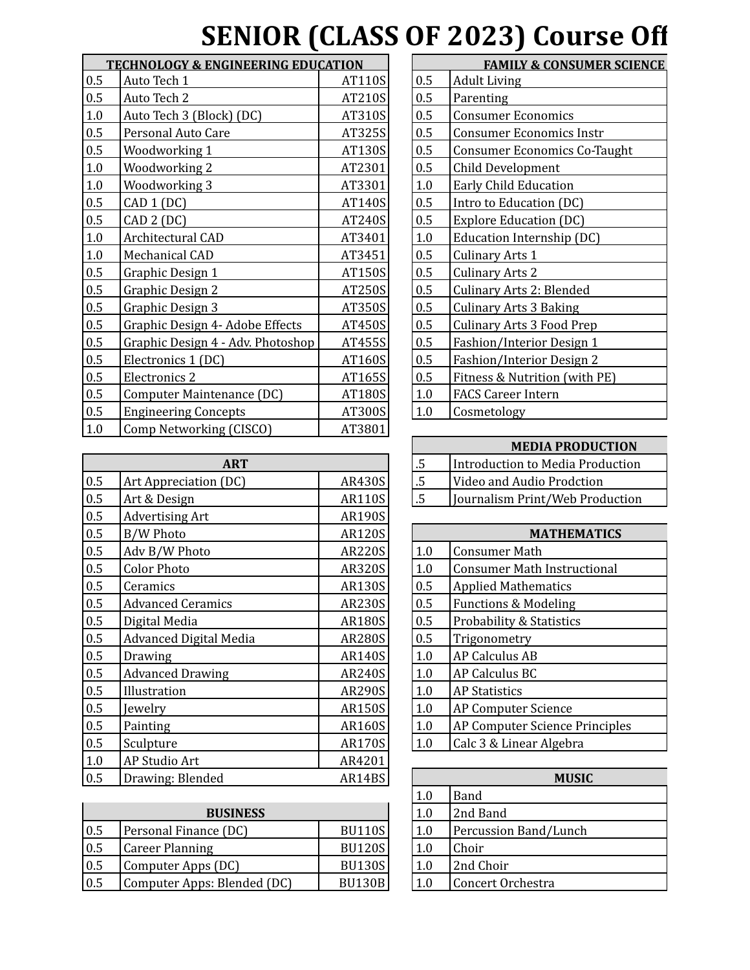## **SENIOR (CLASS OF 2023) Course Off**

|         | <b>TECHNOLOGY &amp; ENGINEERING EDUCATION</b> |        |         | <b>FAMILY &amp; CONSUMER SCIENCE</b> |
|---------|-----------------------------------------------|--------|---------|--------------------------------------|
| 0.5     | Auto Tech 1                                   | AT110S | 0.5     | <b>Adult Living</b>                  |
| 0.5     | Auto Tech 2                                   | AT210S | 0.5     | Parenting                            |
| $1.0\,$ | Auto Tech 3 (Block) (DC)                      | AT310S | 0.5     | <b>Consumer Economics</b>            |
| 0.5     | Personal Auto Care                            | AT325S | 0.5     | <b>Consumer Economics Instr</b>      |
| $0.5\,$ | Woodworking 1                                 | AT130S | 0.5     | <b>Consumer Economics Co-Taught</b>  |
| $1.0\,$ | Woodworking 2                                 | AT2301 | 0.5     | Child Development                    |
| $1.0\,$ | Woodworking 3                                 | AT3301 | 1.0     | Early Child Education                |
| 0.5     | CAD 1 (DC)                                    | AT140S | 0.5     | Intro to Education (DC)              |
| 0.5     | CAD 2 (DC)                                    | AT240S | 0.5     | <b>Explore Education (DC)</b>        |
| 1.0     | Architectural CAD                             | AT3401 | 1.0     | Education Internship (DC)            |
| $1.0\,$ | Mechanical CAD                                | AT3451 | 0.5     | <b>Culinary Arts 1</b>               |
| $0.5\,$ | Graphic Design 1                              | AT150S | 0.5     | <b>Culinary Arts 2</b>               |
| $0.5\,$ | Graphic Design 2                              | AT250S | 0.5     | <b>Culinary Arts 2: Blended</b>      |
| 0.5     | Graphic Design 3                              | AT350S | 0.5     | <b>Culinary Arts 3 Baking</b>        |
| 0.5     | Graphic Design 4- Adobe Effects               | AT450S | 0.5     | <b>Culinary Arts 3 Food Prep</b>     |
| 0.5     | Graphic Design 4 - Adv. Photoshop             | AT455S | 0.5     | Fashion/Interior Design 1            |
| $0.5\,$ | Electronics 1 (DC)                            | AT160S | 0.5     | Fashion/Interior Design 2            |
| 0.5     | <b>Electronics 2</b>                          | AT165S | 0.5     | Fitness & Nutrition (with PE)        |
| 0.5     | Computer Maintenance (DC)                     | AT180S | $1.0\,$ | <b>FACS Career Intern</b>            |
| 0.5     | <b>Engineering Concepts</b>                   | AT300S | 1.0     | Cosmetology                          |
| 1.0     | Comp Networking (CISCO)                       | AT3801 |         |                                      |

|     | <b>ART</b>                    |               | $.5\,$ | <b>Introduction to Media Production</b> |
|-----|-------------------------------|---------------|--------|-----------------------------------------|
| 0.5 | Art Appreciation (DC)         | <b>AR430S</b> | .5     | Video and Audio Prodction               |
| 0.5 | Art & Design                  | <b>AR110S</b> | .5     | Journalism Print/Web Production         |
| 0.5 | <b>Advertising Art</b>        | <b>AR190S</b> |        |                                         |
| 0.5 | B/W Photo                     | <b>AR120S</b> |        | <b>MATHEMATICS</b>                      |
| 0.5 | Adv B/W Photo                 | <b>AR220S</b> | 1.0    | <b>Consumer Math</b>                    |
| 0.5 | <b>Color Photo</b>            | <b>AR320S</b> | 1.0    | <b>Consumer Math Instructional</b>      |
| 0.5 | Ceramics                      | <b>AR130S</b> | 0.5    | <b>Applied Mathematics</b>              |
| 0.5 | <b>Advanced Ceramics</b>      | <b>AR230S</b> | 0.5    | <b>Functions &amp; Modeling</b>         |
| 0.5 | Digital Media                 | <b>AR180S</b> | 0.5    | Probability & Statistics                |
| 0.5 | <b>Advanced Digital Media</b> | <b>AR280S</b> | 0.5    | Trigonometry                            |
| 0.5 | <b>Drawing</b>                | <b>AR140S</b> | 1.0    | <b>AP Calculus AB</b>                   |
| 0.5 | <b>Advanced Drawing</b>       | <b>AR240S</b> | 1.0    | AP Calculus BC                          |
| 0.5 | Illustration                  | <b>AR290S</b> | 1.0    | <b>AP Statistics</b>                    |
| 0.5 | Jewelry                       | <b>AR150S</b> | 1.0    | AP Computer Science                     |
| 0.5 | Painting                      | <b>AR160S</b> | 1.0    | AP Computer Science Principles          |
| 0.5 | Sculpture                     | <b>AR170S</b> | 1.0    | Calc 3 & Linear Algebra                 |
| 1.0 | AP Studio Art                 | AR4201        |        |                                         |
| 0.5 | Drawing: Blended              | AR14BS        |        | <b>MUSIC</b>                            |

|     | <b>BUSINESS</b>             | 1.0           | 2nd Band |                       |
|-----|-----------------------------|---------------|----------|-----------------------|
| 0.5 | Personal Finance (DC)       | <b>BU110S</b> | 1.0      | Percussion Band/Lunch |
| 0.5 | <b>Career Planning</b>      | <b>BU120S</b> | 1.0      | Choir                 |
| 0.5 | Computer Apps (DC)          | <b>BU130S</b> | 1.0      | 2nd Choir             |
| 0.5 | Computer Apps: Blended (DC) | <b>BU130B</b> | 1.0      | Concert Orchestra     |

|         | <b>FAMILY &amp; CONSUMER SCIENCE</b> |  |  |  |  |  |  |
|---------|--------------------------------------|--|--|--|--|--|--|
| 0.5     | <b>Adult Living</b>                  |  |  |  |  |  |  |
| 0.5     | Parenting                            |  |  |  |  |  |  |
| 0.5     | <b>Consumer Economics</b>            |  |  |  |  |  |  |
| 0.5     | <b>Consumer Economics Instr</b>      |  |  |  |  |  |  |
| 0.5     | <b>Consumer Economics Co-Taught</b>  |  |  |  |  |  |  |
| $0.5\,$ | Child Development                    |  |  |  |  |  |  |
| 1.0     | <b>Early Child Education</b>         |  |  |  |  |  |  |
| 0.5     | Intro to Education (DC)              |  |  |  |  |  |  |
| 0.5     | <b>Explore Education (DC)</b>        |  |  |  |  |  |  |
| 1.0     | Education Internship (DC)            |  |  |  |  |  |  |
| 0.5     | Culinary Arts 1                      |  |  |  |  |  |  |
| 0.5     | <b>Culinary Arts 2</b>               |  |  |  |  |  |  |
| 0.5     | <b>Culinary Arts 2: Blended</b>      |  |  |  |  |  |  |
| 0.5     | <b>Culinary Arts 3 Baking</b>        |  |  |  |  |  |  |
| 0.5     | <b>Culinary Arts 3 Food Prep</b>     |  |  |  |  |  |  |
| 0.5     | Fashion/Interior Design 1            |  |  |  |  |  |  |
| 0.5     | Fashion/Interior Design 2            |  |  |  |  |  |  |
| 0.5     | Fitness & Nutrition (with PE)        |  |  |  |  |  |  |
| 1.0     | <b>FACS Career Intern</b>            |  |  |  |  |  |  |
| 1.0     | Cosmetology                          |  |  |  |  |  |  |

|              |        |    | <b>MEDIA PRODUCTION</b>          |
|--------------|--------|----|----------------------------------|
| ART          |        | .5 | Introduction to Media Production |
| ΈC<br>AR430S |        | .5 | Video and Audio Prodction        |
|              | AR110S |    | Journalism Print/Web Production  |

|         | <b>MATHEMATICS</b>                  |
|---------|-------------------------------------|
| 1.0     | Consumer Math                       |
| 1.0     | Consumer Math Instructional         |
| 0.5     | <b>Applied Mathematics</b>          |
| 0.5     | <b>Functions &amp; Modeling</b>     |
| $0.5\,$ | <b>Probability &amp; Statistics</b> |
| 0.5     | Trigonometry                        |
| 1.0     | AP Calculus AB                      |
| 1.0     | AP Calculus BC                      |
| 1.0     | <b>AP Statistics</b>                |
| 1.0     | <b>AP Computer Science</b>          |
| 1.0     | AP Computer Science Principles      |
|         | Calc 3 & Linear Algebra             |

|     | <b>MUSIC</b>          |
|-----|-----------------------|
| 1.0 | Band                  |
| 1.0 | 2nd Band              |
| 1.0 | Percussion Band/Lunch |
| 1.0 | Choir                 |
| 1.0 | 2nd Choir             |
| 1.0 | Concert Orchestra     |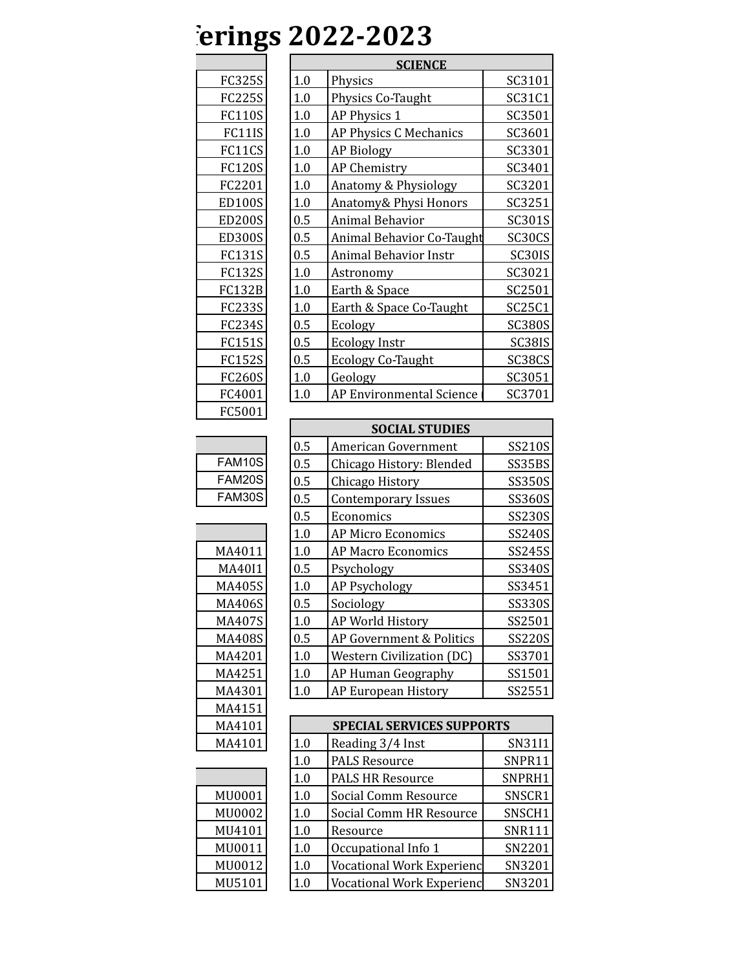## **SENIOR (CLASS OF 2023) Course Offerings 2022-2023**

|               |         | <b>SCIENCE</b>               |               |
|---------------|---------|------------------------------|---------------|
| <b>FC325S</b> | 1.0     | Physics                      | SC3101        |
| <b>FC225S</b> | 1.0     | Physics Co-Taught            | SC31C1        |
| <b>FC110S</b> | 1.0     | AP Physics 1                 | SC3501        |
| FC11IS        | 1.0     | AP Physics C Mechanics       | SC3601        |
| FC11CS        | 1.0     | <b>AP Biology</b>            | SC3301        |
| <b>FC120S</b> | 1.0     | <b>AP Chemistry</b>          | SC3401        |
| FC2201        | 1.0     | Anatomy & Physiology         | SC3201        |
| <b>ED100S</b> | 1.0     | Anatomy& Physi Honors        | SC3251        |
| <b>ED200S</b> | 0.5     | Animal Behavior              | SC301S        |
| <b>ED300S</b> | 0.5     | Animal Behavior Co-Taught    | SC30CS        |
| <b>FC131S</b> | 0.5     | <b>Animal Behavior Instr</b> | SC30IS        |
| <b>FC132S</b> | 1.0     | Astronomy                    | SC3021        |
| <b>FC132B</b> | $1.0\,$ | Earth & Space                | SC2501        |
| FC233S        | 1.0     | Earth & Space Co-Taught      | SC25C1        |
| FC234S        | 0.5     | Ecology                      | <b>SC380S</b> |
| <b>FC151S</b> | 0.5     | <b>Ecology Instr</b>         | SC38IS        |
| <b>FC152S</b> | 0.5     | <b>Ecology Co-Taught</b>     | SC38CS        |
| <b>FC260S</b> | $1.0\,$ | Geology                      | SC3051        |
| FC4001        | 1.0     | AP Environmental Science     | SC3701        |
| FC5001        |         |                              |               |

| <b>FAM10S</b> |
|---------------|
| FAM20S        |
| <b>FAM30S</b> |

| MA4011 |
|--------|
| MA40I1 |
| MA405S |
| MA406S |
| MA407S |
| MA408S |
| MA4201 |
| MA4251 |
| MA4301 |
| MA4151 |
| MA4101 |
| MA4101 |

|               | 0.5     | American Government              | <b>SS210S</b> |
|---------------|---------|----------------------------------|---------------|
| FAM10S        | 0.5     | Chicago History: Blended         | SS35BS        |
| <b>FAM20S</b> | 0.5     | Chicago History                  | <b>SS350S</b> |
| <b>FAM30S</b> | 0.5     | Contemporary Issues              | SS360S        |
|               | 0.5     | Economics                        | <b>SS230S</b> |
|               | $1.0\,$ | AP Micro Economics               | <b>SS240S</b> |
| MA4011        | 1.0     | AP Macro Economics               | SS245S        |
| MA4011        | 0.5     | Psychology                       | SS340S        |
| <b>MA405S</b> | 1.0     | <b>AP Psychology</b>             | SS3451        |
| MA406S        | 0.5     | Sociology                        | SS330S        |
| <b>MA407S</b> | 1.0     | AP World History                 | SS2501        |
| <b>MA408S</b> | 0.5     | AP Government & Politics         | <b>SS220S</b> |
| MA4201        | 1.0     | <b>Western Civilization (DC)</b> | SS3701        |
| MA4251        | 1.0     | AP Human Geography               | SS1501        |
| MA4301        | 1.0     | AP European History              | SS2551        |
|               |         |                                  |               |

**SOCIAL STUDIES**

| MA4101 |  |                                                   | <b>SPECIAL SERVICES SUPPORTS</b> |               |  |  |  |
|--------|--|---------------------------------------------------|----------------------------------|---------------|--|--|--|
| MA4101 |  | 1.0                                               | Reading 3/4 Inst                 |               |  |  |  |
|        |  | 1.0                                               | <b>PALS Resource</b>             |               |  |  |  |
|        |  | 1.0                                               | <b>PALS HR Resource</b>          | SNPRH1        |  |  |  |
| MU0001 |  | 1.0                                               | Social Comm Resource             | SNSCR1        |  |  |  |
| MU0002 |  | 1.0<br>Social Comm HR Resource<br>1.0<br>Resource |                                  | SNSCH1        |  |  |  |
| MU4101 |  |                                                   |                                  | <b>SNR111</b> |  |  |  |
| MU0011 |  | 1.0                                               | Occupational Info 1              |               |  |  |  |
| MU0012 |  | 1.0<br><b>Vocational Work Experienc</b>           |                                  | SN3201        |  |  |  |
| MU5101 |  | 1.0                                               | <b>Vocational Work Experienc</b> | SN3201        |  |  |  |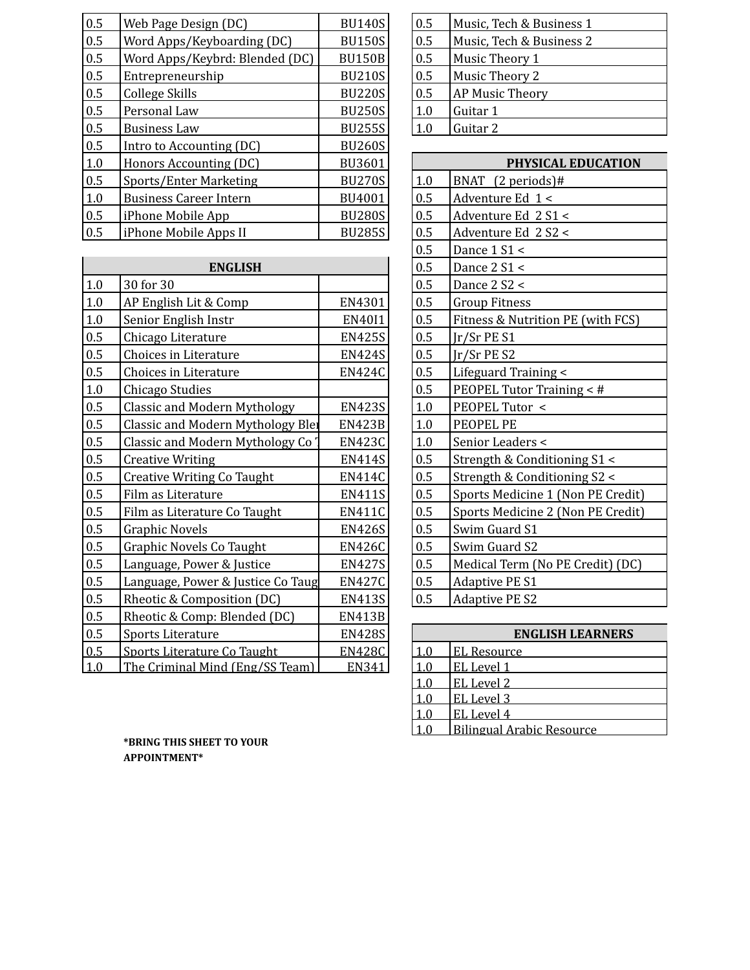| 0.5 | Web Page Design (DC)           | <b>BU140S</b> | 0.5 | Music, Tech & Business 1               |
|-----|--------------------------------|---------------|-----|----------------------------------------|
| 0.5 | Word Apps/Keyboarding (DC)     | <b>BU150S</b> | 0.5 | Music, Tech & Business 2               |
| 0.5 | Word Apps/Keybrd: Blended (DC) | <b>BU150B</b> | 0.5 | Music Theory 1                         |
| 0.5 | Entrepreneurship               | <b>BU210S</b> | 0.5 | Music Theory 2                         |
| 0.5 | College Skills                 | <b>BU220S</b> | 0.5 | <b>AP Music Theory</b>                 |
| 0.5 | Personal Law                   | <b>BU250S</b> | 1.0 | Guitar 1                               |
| 0.5 | <b>Business Law</b>            | <b>BU255S</b> | 1.0 | Guitar 2                               |
| 0.5 | Intro to Accounting (DC)       | <b>BU260S</b> |     |                                        |
| 1.0 | Honors Accounting (DC)         | BU3601        |     | PHYSICAL EDUCATION                     |
| 0.5 | Sports/Enter Marketing         | <b>BU270S</b> | 1.0 | <b>BNAT</b><br>$(2 \text{ periods})$ # |
| 1.0 | <b>Business Career Intern</b>  | BU4001        | 0.5 | Adventure Ed 1 <                       |
| 0.5 | iPhone Mobile App              | <b>BU280S</b> | 0.5 | Adventure Ed 2 S1 <                    |
| 0.5 | iPhone Mobile Apps II          | <b>BU285S</b> | 0.5 | Adventure Ed 2 S2 <                    |

| <b>ENGLISH</b> |                                     |               | 0.5     | Dance 2 S1 <                       |
|----------------|-------------------------------------|---------------|---------|------------------------------------|
| 1.0            | 30 for 30                           |               | 0.5     | Dance 2 S2 <                       |
| 1.0            | AP English Lit & Comp               | EN4301        | 0.5     | <b>Group Fitness</b>               |
| 1.0            | Senior English Instr                | EN4011        | 0.5     | Fitness & Nutrition PE (with FCS)  |
| 0.5            | Chicago Literature                  | <b>EN425S</b> | 0.5     | Jr/Sr PE S1                        |
| 0.5            | Choices in Literature               | <b>EN424S</b> | 0.5     | Jr/Sr PE S2                        |
| 0.5            | Choices in Literature               | <b>EN424C</b> | 0.5     | Lifeguard Training <               |
| $1.0\,$        | Chicago Studies                     |               | 0.5     | <b>PEOPEL Tutor Training &lt;#</b> |
| 0.5            | <b>Classic and Modern Mythology</b> | <b>EN423S</b> | $1.0\,$ | PEOPEL Tutor <                     |
| 0.5            | Classic and Modern Mythology Blei   | <b>EN423B</b> | $1.0\,$ | PEOPEL PE                          |
| 0.5            | Classic and Modern Mythology Co 7   | <b>EN423C</b> | 1.0     | Senior Leaders <                   |
| 0.5            | <b>Creative Writing</b>             | <b>EN414S</b> | 0.5     | Strength & Conditioning S1 <       |
| 0.5            | <b>Creative Writing Co Taught</b>   | <b>EN414C</b> | 0.5     | Strength & Conditioning S2 <       |
| 0.5            | Film as Literature                  | <b>EN411S</b> | 0.5     | Sports Medicine 1 (Non PE Credit)  |
| 0.5            | Film as Literature Co Taught        | <b>EN411C</b> | 0.5     | Sports Medicine 2 (Non PE Credit)  |
| 0.5            | <b>Graphic Novels</b>               | <b>EN426S</b> | 0.5     | Swim Guard S1                      |
| 0.5            | Graphic Novels Co Taught            | <b>EN426C</b> | 0.5     | Swim Guard S2                      |
| 0.5            | Language, Power & Justice           | <b>EN427S</b> | 0.5     | Medical Term (No PE Credit) (DC)   |
| 0.5            | Language, Power & Justice Co Taug   | <b>EN427C</b> | 0.5     | <b>Adaptive PE S1</b>              |
| 0.5            | Rheotic & Composition (DC)          | <b>EN413S</b> | 0.5     | <b>Adaptive PE S2</b>              |
| 0.5            | Rheotic & Comp: Blended (DC)        | <b>EN413B</b> |         |                                    |
| 0.5            | Sports Literature                   | <b>EN428S</b> |         | <b>ENGLISH LEARNERS</b>            |
| 0.5            | <b>Sports Literature Co Taught</b>  | <b>EN428C</b> | 1.0     | <b>EL Resource</b>                 |
| 1.0            | The Criminal Mind (Eng/SS Team)     | EN341         | 1.0     | EL Level 1                         |

| $0.5\,$ | Music, Tech & Business 1 |
|---------|--------------------------|
| 0.5     | Music, Tech & Business 2 |
| 0.5     | Music Theory 1           |
| 0.5     | Music Theory 2           |
| 0.5     | AP Music Theory          |
| 1.0     | Guitar 1                 |
| ∣∩      | Guitar 2                 |

|     | PHYSICAL EDUCATION                 |  |  |  |  |
|-----|------------------------------------|--|--|--|--|
| 1.0 | BNAT (2 periods)#                  |  |  |  |  |
| 0.5 | Adventure Ed 1 <                   |  |  |  |  |
| 0.5 | Adventure Ed 2 S1 <                |  |  |  |  |
| 0.5 | Adventure Ed 2 S2 <                |  |  |  |  |
| 0.5 | Dance 1 S1 <                       |  |  |  |  |
| 0.5 | Dance 2 S1 <                       |  |  |  |  |
| 0.5 | Dance 2 S2 <                       |  |  |  |  |
| 0.5 | <b>Group Fitness</b>               |  |  |  |  |
| 0.5 | Fitness & Nutrition PE (with FCS)  |  |  |  |  |
| 0.5 | $Ir/Sr$ PE S1                      |  |  |  |  |
| 0.5 | Jr/Sr PE S2                        |  |  |  |  |
| 0.5 | Lifeguard Training <               |  |  |  |  |
| 0.5 | <b>PEOPEL Tutor Training &lt;#</b> |  |  |  |  |
| 1.0 | PEOPEL Tutor <                     |  |  |  |  |
| 1.0 | PEOPEL PE                          |  |  |  |  |
| 1.0 | Senior Leaders <                   |  |  |  |  |
| 0.5 | Strength & Conditioning S1 <       |  |  |  |  |
| 0.5 | Strength & Conditioning S2 <       |  |  |  |  |
| 0.5 | Sports Medicine 1 (Non PE Credit)  |  |  |  |  |
| 0.5 | Sports Medicine 2 (Non PE Credit)  |  |  |  |  |
| 0.5 | Swim Guard S1                      |  |  |  |  |
| 0.5 | Swim Guard S2                      |  |  |  |  |
| 0.5 | Medical Term (No PE Credit) (DC)   |  |  |  |  |
| 0.5 | <b>Adaptive PE S1</b>              |  |  |  |  |
| 0.5 | <b>Adaptive PE S2</b>              |  |  |  |  |

|           | <b>ENGLISH LEARNERS</b>          |  |  |  |  |
|-----------|----------------------------------|--|--|--|--|
| 1.0       | EL Resource                      |  |  |  |  |
| $\cdot$ 0 | EL Level 1                       |  |  |  |  |
| 1.0       | EL Level 2                       |  |  |  |  |
| 1.0       | EL Level 3                       |  |  |  |  |
| $\cdot$   | EL Level 4                       |  |  |  |  |
|           | <b>Bilingual Arabic Resource</b> |  |  |  |  |

**\*BRING THIS SHEET TO YOUR APPOINTMENT\***